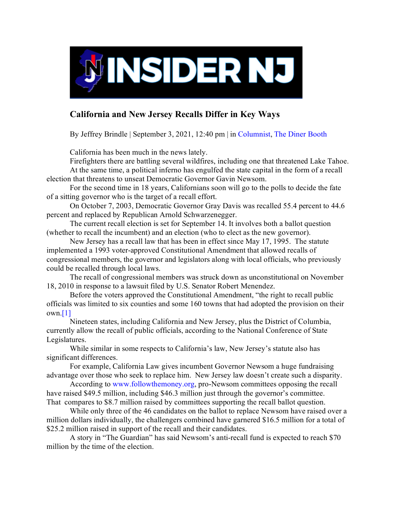

## **California and New Jersey Recalls Differ in Key Ways**

By Jeffrey Brindle | September 3, 2021, 12:40 pm | in [Columnist,](https://www.insidernj.com/category/columnist/) [The Diner Booth](https://www.insidernj.com/category/the-diner-booth/) 

California has been much in the news lately.

Firefighters there are battling several wildfires, including one that threatened Lake Tahoe. At the same time, a political inferno has engulfed the state capital in the form of a recall

election that threatens to unseat Democratic Governor Gavin Newsom.

For the second time in 18 years, Californians soon will go to the polls to decide the fate of a sitting governor who is the target of a recall effort.

On October 7, 2003, Democratic Governor Gray Davis was recalled 55.4 percent to 44.6 percent and replaced by Republican Arnold Schwarzenegger.

The current recall election is set for September 14. It involves both a ballot question (whether to recall the incumbent) and an election (who to elect as the new governor).

New Jersey has a recall law that has been in effect since May 17, 1995. The statute implemented a 1993 voter-approved Constitutional Amendment that allowed recalls of congressional members, the governor and legislators along with local officials, who previously could be recalled through local laws.

The recall of congressional members was struck down as unconstitutional on November 18, 2010 in response to a lawsuit filed by U.S. Senator Robert Menendez.

Before the voters approved the Constitutional Amendment, "the right to recall public officials was limited to six counties and some 160 towns that had adopted the provision on their own[.\[1\]](https://www.insidernj.com/california-new-jersey-recalls-differ-key-ways/#_ftn1)

Nineteen states, including California and New Jersey, plus the District of Columbia, currently allow the recall of public officials, according to the National Conference of State Legislatures.

While similar in some respects to California's law, New Jersey's statute also has significant differences.

For example, California Law gives incumbent Governor Newsom a huge fundraising advantage over those who seek to replace him. New Jersey law doesn't create such a disparity.

According to [www.followthemoney.org,](http://www.followthemoney.org/) pro-Newsom committees opposing the recall have raised \$49.5 million, including \$46.3 million just through the governor's committee. That compares to \$8.7 million raised by committees supporting the recall ballot question.

While only three of the 46 candidates on the ballot to replace Newsom have raised over a million dollars individually, the challengers combined have garnered \$16.5 million for a total of \$25.2 million raised in support of the recall and their candidates.

A story in "The Guardian" has said Newsom's anti-recall fund is expected to reach \$70 million by the time of the election.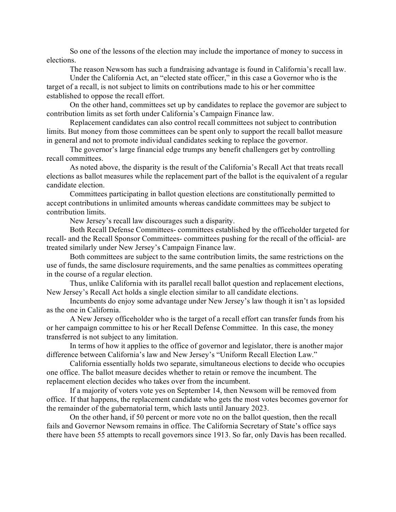So one of the lessons of the election may include the importance of money to success in elections.

The reason Newsom has such a fundraising advantage is found in California's recall law.

Under the California Act, an "elected state officer," in this case a Governor who is the target of a recall, is not subject to limits on contributions made to his or her committee established to oppose the recall effort.

On the other hand, committees set up by candidates to replace the governor are subject to contribution limits as set forth under California's Campaign Finance law.

Replacement candidates can also control recall committees not subject to contribution limits. But money from those committees can be spent only to support the recall ballot measure in general and not to promote individual candidates seeking to replace the governor.

The governor's large financial edge trumps any benefit challengers get by controlling recall committees.

As noted above, the disparity is the result of the California's Recall Act that treats recall elections as ballot measures while the replacement part of the ballot is the equivalent of a regular candidate election.

Committees participating in ballot question elections are constitutionally permitted to accept contributions in unlimited amounts whereas candidate committees may be subject to contribution limits.

New Jersey's recall law discourages such a disparity.

Both Recall Defense Committees- committees established by the officeholder targeted for recall- and the Recall Sponsor Committees- committees pushing for the recall of the official- are treated similarly under New Jersey's Campaign Finance law.

Both committees are subject to the same contribution limits, the same restrictions on the use of funds, the same disclosure requirements, and the same penalties as committees operating in the course of a regular election.

Thus, unlike California with its parallel recall ballot question and replacement elections, New Jersey's Recall Act holds a single election similar to all candidate elections.

Incumbents do enjoy some advantage under New Jersey's law though it isn't as lopsided as the one in California.

A New Jersey officeholder who is the target of a recall effort can transfer funds from his or her campaign committee to his or her Recall Defense Committee. In this case, the money transferred is not subject to any limitation.

In terms of how it applies to the office of governor and legislator, there is another major difference between California's law and New Jersey's "Uniform Recall Election Law."

California essentially holds two separate, simultaneous elections to decide who occupies one office. The ballot measure decides whether to retain or remove the incumbent. The replacement election decides who takes over from the incumbent.

If a majority of voters vote yes on September 14, then Newsom will be removed from office. If that happens, the replacement candidate who gets the most votes becomes governor for the remainder of the gubernatorial term, which lasts until January 2023.

On the other hand, if 50 percent or more vote no on the ballot question, then the recall fails and Governor Newsom remains in office. The California Secretary of State's office says there have been 55 attempts to recall governors since 1913. So far, only Davis has been recalled.